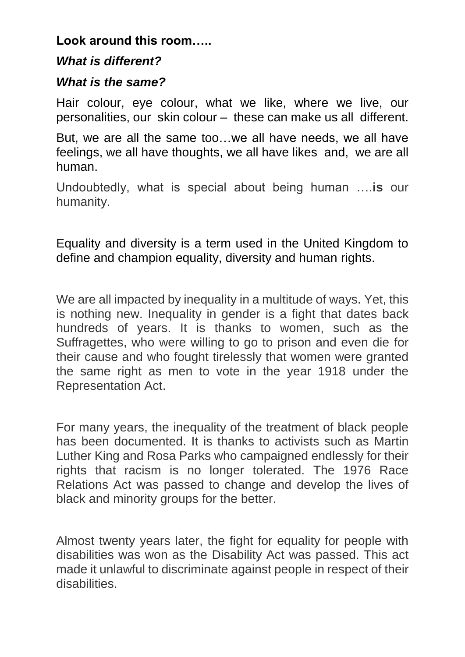## **Look around this room…..**

## *What is different?*

## *What is the same?*

Hair colour, eye colour, what we like, where we live, our personalities, our skin colour – these can make us all different.

But, we are all the same too…we all have needs, we all have feelings, we all have thoughts, we all have likes and, we are all human.

Undoubtedly, what is special about being human ….**is** our humanity.

Equality and diversity is a term used in the United Kingdom to define and champion equality, diversity and human rights.

We are all impacted by inequality in a multitude of ways. Yet, this is nothing new. Inequality in gender is a fight that dates back hundreds of years. It is thanks to women, such as the Suffragettes, who were willing to go to prison and even die for their cause and who fought tirelessly that women were granted the same right as men to vote in the year 1918 under the Representation Act.

For many years, the inequality of the treatment of black people has been documented. It is thanks to activists such as Martin Luther King and Rosa Parks who campaigned endlessly for their rights that racism is no longer tolerated. The 1976 Race Relations Act was passed to change and develop the lives of black and minority groups for the better.

Almost twenty years later, the fight for equality for people with disabilities was won as the Disability Act was passed. This act made it unlawful to discriminate against people in respect of their disabilities.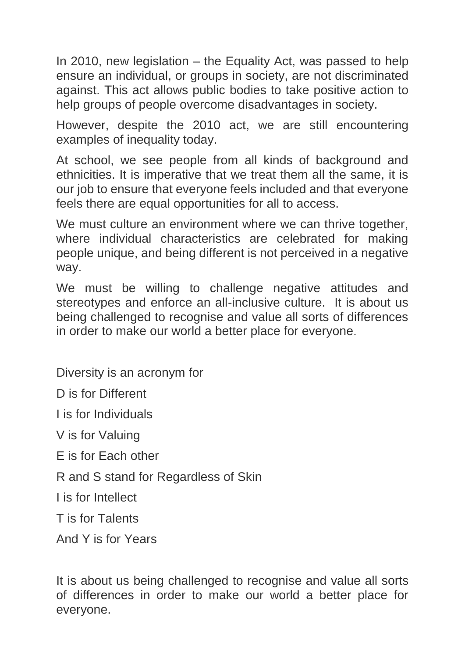In 2010, new legislation – the Equality Act, was passed to help ensure an individual, or groups in society, are not discriminated against. This act allows public bodies to take positive action to help groups of people overcome disadvantages in society.

However, despite the 2010 act, we are still encountering examples of inequality today.

At school, we see people from all kinds of background and ethnicities. It is imperative that we treat them all the same, it is our job to ensure that everyone feels included and that everyone feels there are equal opportunities for all to access.

We must culture an environment where we can thrive together, where individual characteristics are celebrated for making people unique, and being different is not perceived in a negative way.

We must be willing to challenge negative attitudes and stereotypes and enforce an all-inclusive culture. It is about us being challenged to recognise and value all sorts of differences in order to make our world a better place for everyone.

Diversity is an acronym for

D is for Different

I is for Individuals

V is for Valuing

E is for Each other

R and S stand for Regardless of Skin

I is for Intellect

T is for Talents

And Y is for Years

It is about us being challenged to recognise and value all sorts of differences in order to make our world a better place for everyone.